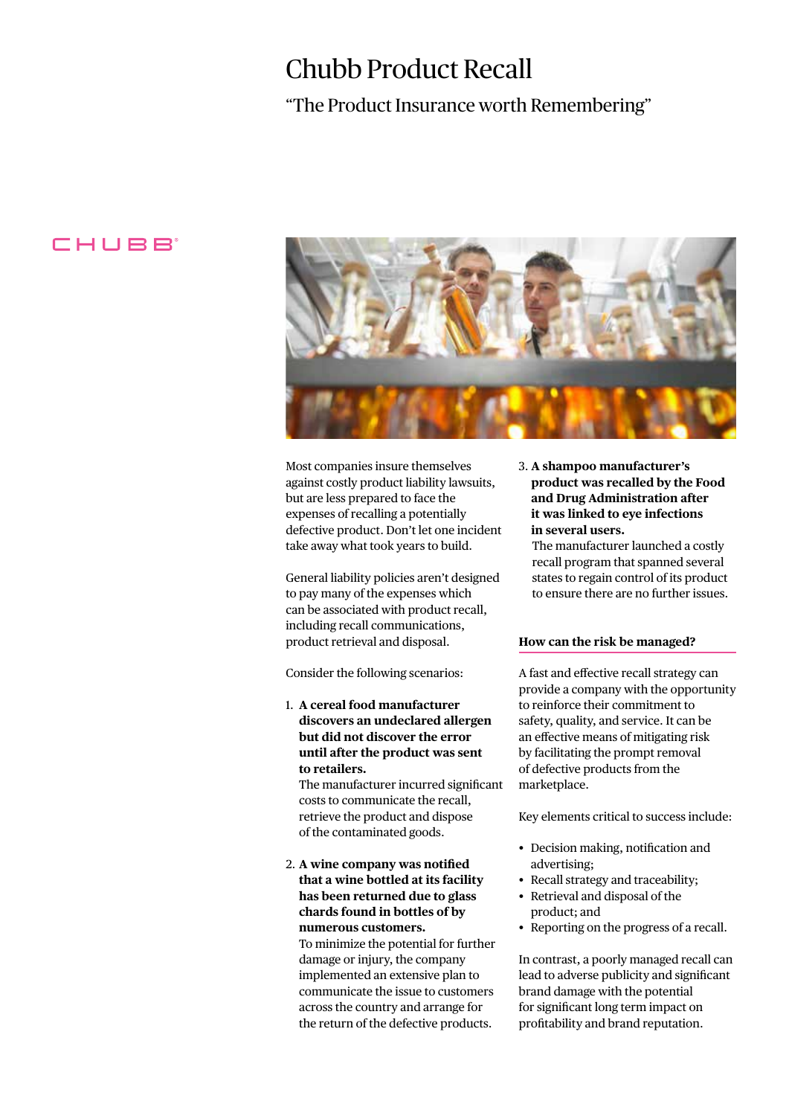# Chubb Product Recall

# "The Product Insurance worth Remembering"

# CHUBB



Most companies insure themselves against costly product liability lawsuits, but are less prepared to face the expenses of recalling a potentially defective product. Don't let one incident take away what took years to build.

General liability policies aren't designed to pay many of the expenses which can be associated with product recall, including recall communications, product retrieval and disposal.

Consider the following scenarios:

1. **A cereal food manufacturer discovers an undeclared allergen but did not discover the error until after the product was sent to retailers.**

 The manufacturer incurred significant costs to communicate the recall, retrieve the product and dispose of the contaminated goods.

2. **A wine company was notified that a wine bottled at its facility has been returned due to glass chards found in bottles of by numerous customers.**  To minimize the potential for further damage or injury, the company implemented an extensive plan to communicate the issue to customers across the country and arrange for the return of the defective products.

3. **A shampoo manufacturer's product was recalled by the Food and Drug Administration after it was linked to eye infections in several users.**

 The manufacturer launched a costly recall program that spanned several states to regain control of its product to ensure there are no further issues.

#### **How can the risk be managed?**

A fast and effective recall strategy can provide a company with the opportunity to reinforce their commitment to safety, quality, and service. It can be an effective means of mitigating risk by facilitating the prompt removal of defective products from the marketplace.

Key elements critical to success include:

- Decision making, notification and advertising;
- Recall strategy and traceability;
- Retrieval and disposal of the product; and
- Reporting on the progress of a recall.

In contrast, a poorly managed recall can lead to adverse publicity and significant brand damage with the potential for significant long term impact on profitability and brand reputation.